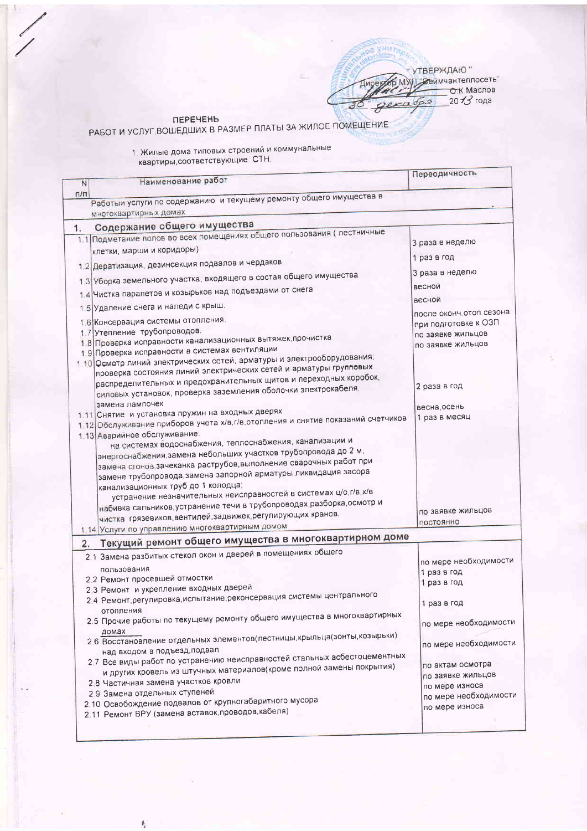" УТВЕРЖДАЮ "<br>SMWJ "Деймчантеплосеть"<br>C Macnoв 2013 года gex

 $1100000$ 

## ПЕРЕЧЕНЬ

РАБОТ И УСЛУГ.ВОШЕДШИХ В РАЗМЕР ПЛАТЫ ЗА ЖИЛОЕ ПОМЕЩЕНИЕ

1. Жилые дома типовых строений и коммунальные<br>квартиры,соответствующие СТН.

| N   | Наименование работ                                                                                                                  | Переодичность                         |
|-----|-------------------------------------------------------------------------------------------------------------------------------------|---------------------------------------|
| n/n |                                                                                                                                     |                                       |
|     | Работыи услуги по содержанию и текущему ремонту общего имущества в                                                                  |                                       |
|     | многоквартирных домах                                                                                                               |                                       |
| 1.  | Содержание общего имущества                                                                                                         |                                       |
|     | 1.1 Подметание полов во всех помещениях общего пользования ( лестничные                                                             | 3 раза в неделю                       |
|     | клетки, марши и коридоры)                                                                                                           |                                       |
|     | 1.2 Дератизация, дезинсекция подвалов и чердаков                                                                                    | 1 раз в год                           |
|     | 1.3 Уборка земельного участка, входящего в состав общего имущества                                                                  | 3 раза в неделю                       |
|     | 1.4 Чистка парапетов и козырьков над подъездами от снега                                                                            | весной                                |
|     | 1.5 Удаление снега и наледи с крыш.                                                                                                 | весной                                |
|     | 1.6 Консервация системы отопления.                                                                                                  | после оконч. отоп. сезона             |
|     | 1.7 Утепление трубопроводов.                                                                                                        | при подготовке к ОЗП                  |
|     | 1.8 Проверка исправности канализационных вытяжек, прочистка                                                                         | по заявке жильцов                     |
|     | 1.9 Проверка исправности в системах вентиляции                                                                                      | по заявке жильцов                     |
|     | 1.10 Осмотр линий электрических сетей, арматуры и электрооборудования;                                                              |                                       |
|     | проверка состояния линий электрических сетей и арматуры групповых                                                                   |                                       |
|     | распределительных и предохранительных щитов и переходных коробок,                                                                   | 2 раза в год                          |
|     | силовых установок, проверка заземления оболочки электрокабеля,                                                                      |                                       |
|     | замена лампочек                                                                                                                     | весна, осень                          |
|     | 1.11 Снятие и установка пружин на входных дверях                                                                                    | 1 раз в месяц                         |
|     | 1.12 Обслуживание приборов учета х/в, г/в, отопления и снятие показаний счетчиков                                                   |                                       |
|     | 1.13 Аварийное обслуживание:                                                                                                        |                                       |
|     | на системах водоснабжения, теплоснабжения, канализации и                                                                            |                                       |
|     | энергоснабжения,замена небольших участков трубопровода до 2 м,<br>замена сгонов зачеканка раструбов, выполнение сварочных работ при |                                       |
|     | замене трубопровода, замена запорной арматуры, ликвидация засора                                                                    |                                       |
|     | канализационных труб до 1 колодца;                                                                                                  |                                       |
|     | устранение незначительных неисправностей в системах ц/о,г/в,х/в                                                                     |                                       |
|     | набивка сальников, устранение течи в трубопроводах разборка, осмотр и                                                               |                                       |
|     | чистка грязевиков, вентилей, задвижек, регулирующих кранов.                                                                         | по заявке жильцов                     |
|     | 1.14 Услуги по управлению многоквартирным домом                                                                                     | постоянно                             |
|     | Текущий ремонт общего имущества в многоквартирном доме                                                                              |                                       |
| 2.  |                                                                                                                                     |                                       |
|     | 2.1 Замена разбитых стекол окон и дверей в помещениях общего                                                                        | по мере необходимости                 |
|     | пользования                                                                                                                         | 1 раз в год                           |
|     | 2.2 Ремонт просевшей отмостки                                                                                                       | 1 раз в год                           |
|     | 2.3 Ремонт и укрепление входных дверей<br>2.4 Ремонт, регулировка, испытание, реконсервация системы центрального                    |                                       |
|     |                                                                                                                                     | 1 раз в год                           |
|     | отопления<br>2.5 Прочие работы по текущему ремонту общего имущества в многоквартирных                                               |                                       |
|     |                                                                                                                                     | по мере необходимости                 |
|     | домах<br>2.6 Восстановление отдельных элементов(лестницы,крыльца(зонты,козырьки)                                                    |                                       |
|     | над входом в подъезд, подвал                                                                                                        | по мере необходимости                 |
|     | 2.7 Все виды работ по устранению неисправностей стальных асбестоцементных                                                           |                                       |
|     | и других кровель из штучных материалов(кроме полной замены покрытия)                                                                | по актам осмотра<br>по заявке жильцов |
|     | 2.8 Частичная замена участков кровли                                                                                                | по мере износа                        |
|     | 2.9 Замена отдельных ступеней                                                                                                       | по мере необходимости                 |
|     | 2.10 Освобождение подвалов от крупногабаритного мусора                                                                              | по мере износа                        |
|     | 2.11 Ремонт ВРУ (замена вставок, проводов, кабеля)                                                                                  |                                       |
|     |                                                                                                                                     |                                       |

 $\mathfrak{h}$